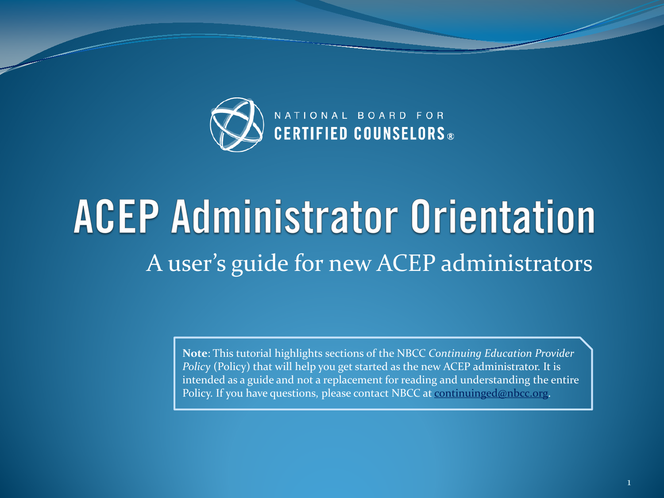

### **ACEP Administrator Orientation** A user's guide for new ACEP administrators

**Note**: This tutorial highlights sections of the NBCC *Continuing Education Provider Policy* (Policy) that will help you get started as the new ACEP administrator. It is intended as a guide and not a replacement for reading and understanding the entire Policy. If you have questions, please contact NBCC at [continuinged@nbcc.org](mailto:continuinged@nbcc.org).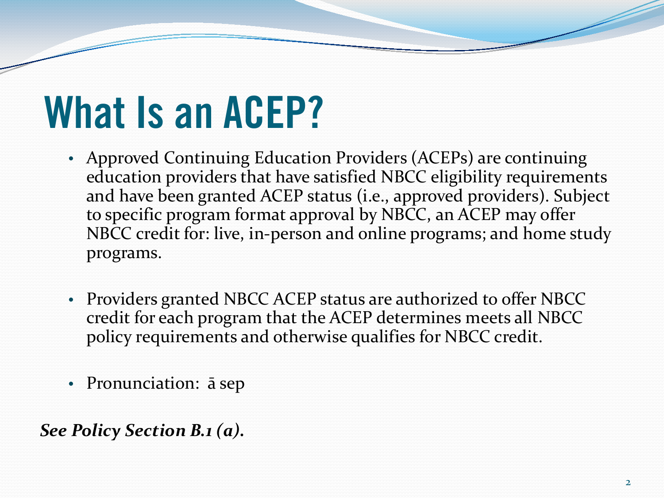### **What Is an ACEP?**

- Approved Continuing Education Providers (ACEPs) are continuing education providers that have satisfied NBCC eligibility requirements and have been granted ACEP status (i.e., approved providers). Subject to specific program format approval by NBCC, an ACEP may offer NBCC credit for: live, in-person and online programs; and home study programs.
- Providers granted NBCC ACEP status are authorized to offer NBCC credit for each program that the ACEP determines meets all NBCC policy requirements and otherwise qualifies for NBCC credit.
- Pronunciation:  $\bar{a}$  sep

*See Policy Section B.1 (a).*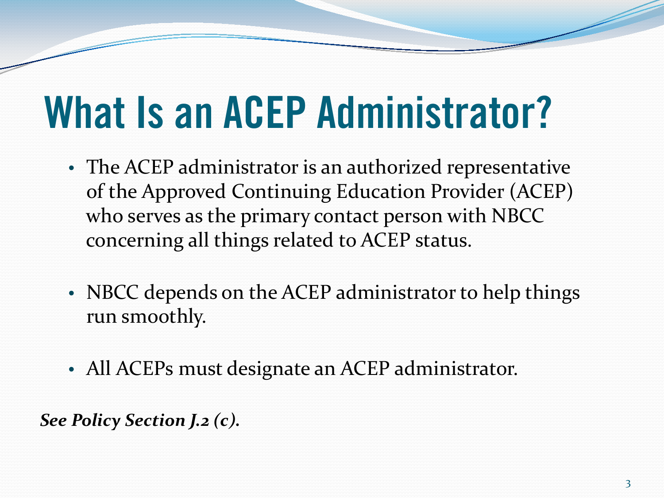### **What Is an ACEP Administrator?**

- The ACEP administrator is an authorized representative of the Approved Continuing Education Provider (ACEP) who serves as the primary contact person with NBCC concerning all things related to ACEP status.
- NBCC depends on the ACEP administrator to help things run smoothly.
- All ACEPs must designate an ACEP administrator.

*See Policy Section J.2 (c).*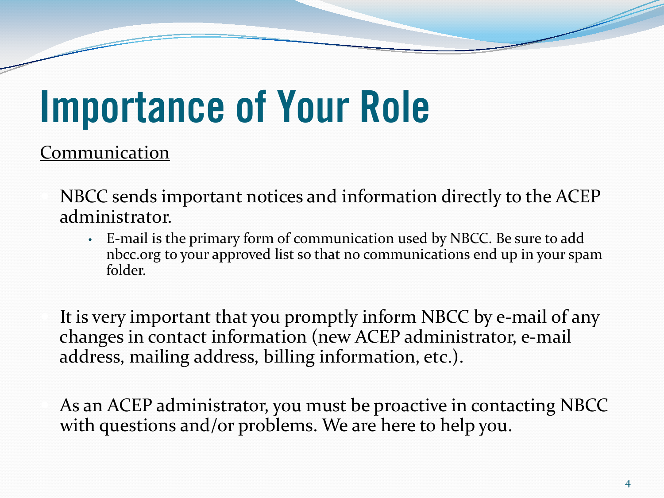## **Importance of Your Role**

**Communication** 

 NBCC sends important notices and information directly to the ACEP administrator.

• E-mail is the primary form of communication used by NBCC. Be sure to add nbcc.org to your approved list so that no communications end up in your spam folder.

 It is very important that you promptly inform NBCC by e-mail of any changes in contact information (new ACEP administrator, e-mail address, mailing address, billing information, etc.).

 As an ACEP administrator, you must be proactive in contacting NBCC with questions and/or problems. We are here to help you.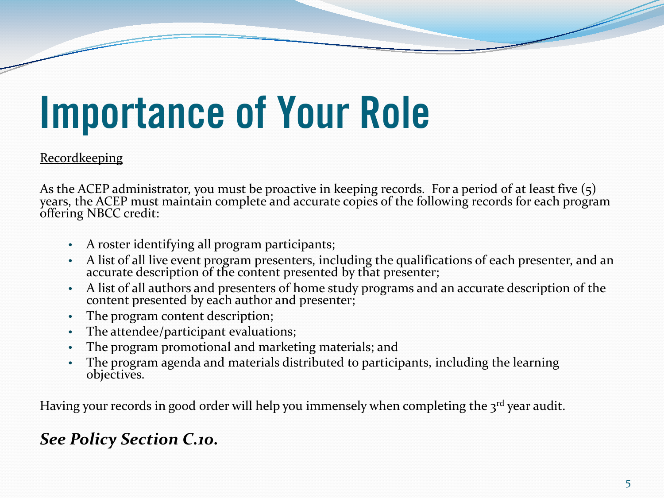## **Importance of Your Role**

#### Recordkeeping

As the ACEP administrator, you must be proactive in keeping records. For a period of at least five (5) years, the ACEP must maintain complete and accurate copies of the following records for each program offering NBCC cred

- A roster identifying all program participants;
- A list of all live event program presenters, including the qualifications of each presenter, and an accurate description of the content presented by that presenter;
- A list of all authors and presenters of home study programs and an accurate description of the content presented by each author and presenter;
- The program content description;
- The attendee/participant evaluations;
- The program promotional and marketing materials; and
- The program agenda and materials distributed to participants, including the learning objectives.

Having your records in good order will help you immensely when completing the  $3^{rd}$  year audit.

#### *See Policy Section C.10.*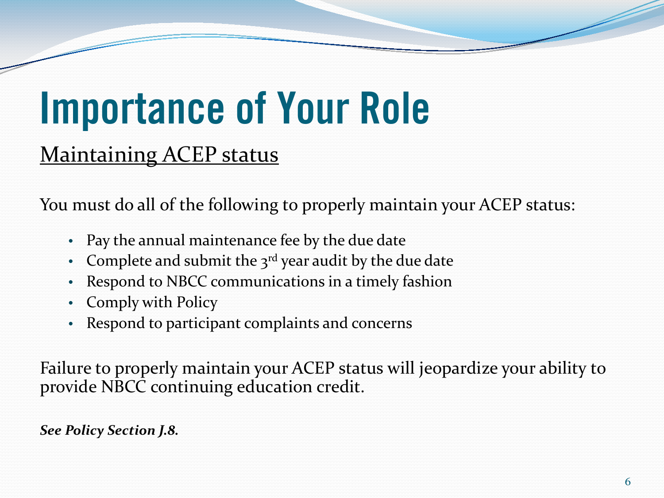## **Importance of Your Role**

#### Maintaining ACEP status

You must do all of the following to properly maintain your ACEP status:

- Pay the annual maintenance fee by the due date
- Complete and submit the  $3<sup>rd</sup>$  year audit by the due date
- Respond to NBCC communications in a timely fashion
- Comply with Policy
- Respond to participant complaints and concerns

Failure to properly maintain your ACEP status will jeopardize your ability to provide NBCC continuing education credit.

#### *See Policy Section J.8.*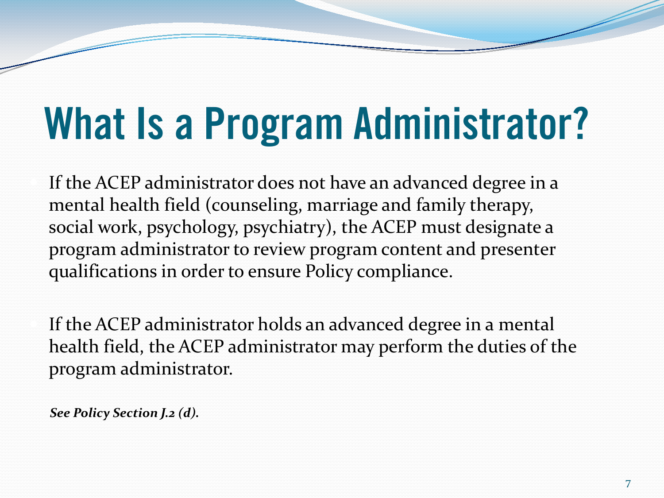# **What Is a Program Administrator?**

 If the ACEP administrator does not have an advanced degree in a mental health field (counseling, marriage and family therapy, social work, psychology, psychiatry), the ACEP must designate a program administrator to review program content and presenter qualifications in order to ensure Policy compliance.

 If the ACEP administrator holds an advanced degree in a mental health field, the ACEP administrator may perform the duties of the program administrator.

 *See Policy Section J.2 (d).*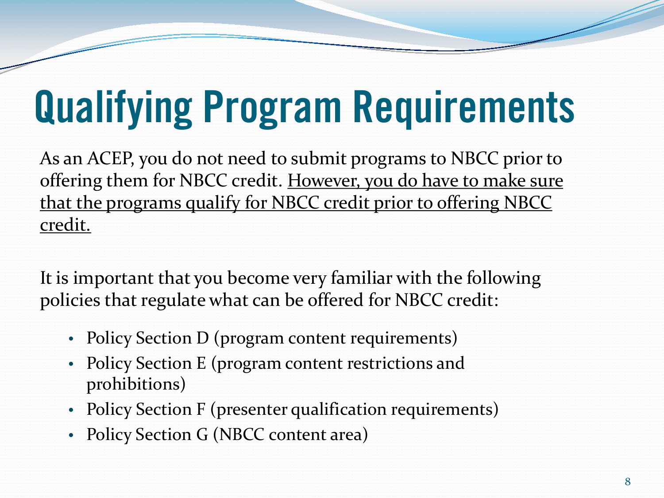# **Qualifying Program Requirements**

As an ACEP, you do not need to submit programs to NBCC prior to offering them for NBCC credit. However, you do have to make sure that the programs qualify for NBCC credit prior to offering NBCC credit.

It is important that you become very familiar with the following policies that regulate what can be offered for NBCC credit:

- Policy Section D (program content requirements)
- Policy Section E (program content restrictions and prohibitions)
- Policy Section F (presenter qualification requirements)
- Policy Section G (NBCC content area)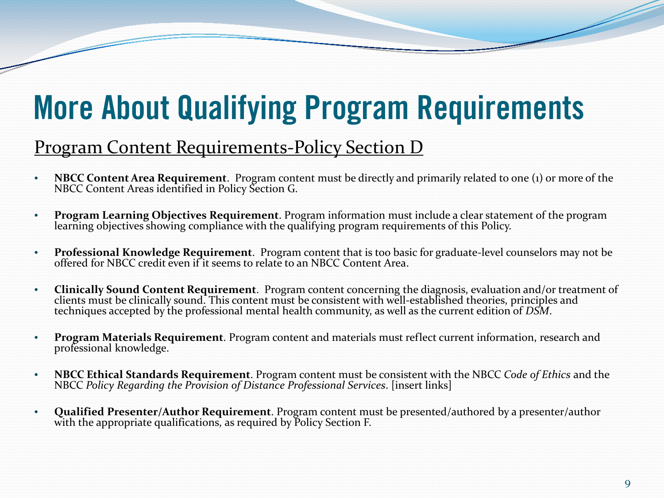### **More About Qualifying Program Requirements**

#### Program Content Requirements-Policy Section D

- **NBCC Content Area Requirement**. Program content must be directly and primarily related to one (1) or more of the NBCC Content Areas identified in Policy Section G.
- **Program Learning Objectives Requirement**. Program information must include a clear statement of the program learning objectives showing compliance with the qualifying program requirements of this Policy.
- **Professional Knowledge Requirement**. Program content that is too basic for graduate-level counselors may not be offered for NBCC credit even if it seems to relate to an NBCC Content Area.
- **Clinically Sound Content Requirement**. Program content concerning the diagnosis, evaluation and/or treatment of techniques accepted by the professional mental health community, as well as the current edition of *DSM*.
- **Program Materials Requirement**. Program content and materials must reflect current information, research and professional knowledge.
- **NBCC Ethical Standards Requirement**. Program content must be consistent with the NBCC *Code of Ethics* and the NBCC *Policy Regarding the Provision of Distance Professional Services*. [insert links]
- **Qualified Presenter/Author Requirement**. Program content must be presented/authored by a presenter/author with the appropriate qualifications, as required by Policy Section F.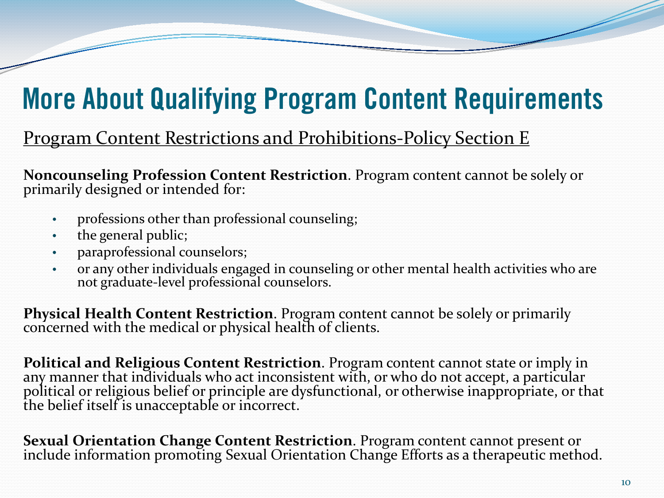### **More About Qualifying Program Content Requirements**

#### Program Content Restrictions and Prohibitions-Policy Section E

**Noncounseling Profession Content Restriction**. Program content cannot be solely or primarily designed or intended for:

- professions other than professional counseling;
- the general public;
- paraprofessional counselors;
- or any other individuals engaged in counseling or other mental health activities who are not graduate-level professional counselors.

**Physical Health Content Restriction**. Program content cannot be solely or primarily concerned with the medical or physical health of clients.

**Political and Religious Content Restriction**. Program content cannot state or imply in any manner that individuals who act inconsistent with, or who do not accept, a particular political or religious belief or principle are dysfunctional, or otherwise inappropriate, or that the belief itself is unacceptable or incorrect.

**Sexual Orientation Change Content Restriction**. Program content cannot present or include information promoting Sexual Orientation Change Efforts as a therapeutic method.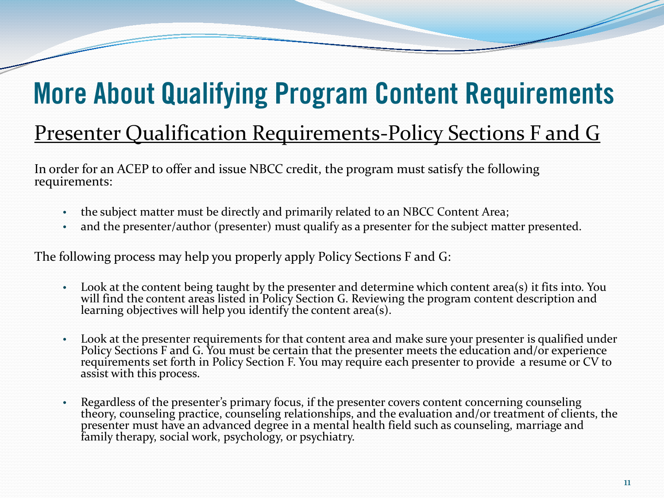### **More About Qualifying Program Content Requirements**

#### Presenter Qualification Requirements-Policy Sections F and G

In order for an ACEP to offer and issue NBCC credit, the program must satisfy the following requirements:

- the subject matter must be directly and primarily related to an NBCC Content Area;
- and the presenter/author (presenter) must qualify as a presenter for the subject matter presented.

The following process may help you properly apply Policy Sections F and G:

- Look at the content being taught by the presenter and determine which content area(s) it fits into. You will find the content areas listed in Policy Section G. Reviewing the program content description and learning objectives will help you identify the content area(s).
- Look at the presenter requirements for that content area and make sure your presenter is qualified under Policy Sections F and G. You must be certain that the presenter meets the education and/or experience requirements set forth in Policy Section F. You may require each presenter to provide a resume or CV to assist with this process.
- Regardless of the presenter's primary focus, if the presenter covers content concerning counseling theory, counseling practice, counseling relationships, and the evaluation and/or treatment of clients, the presenter must have an advanced degree in a mental health field such as counseling, marriage and family therapy, social work, psychology, or psychiatry.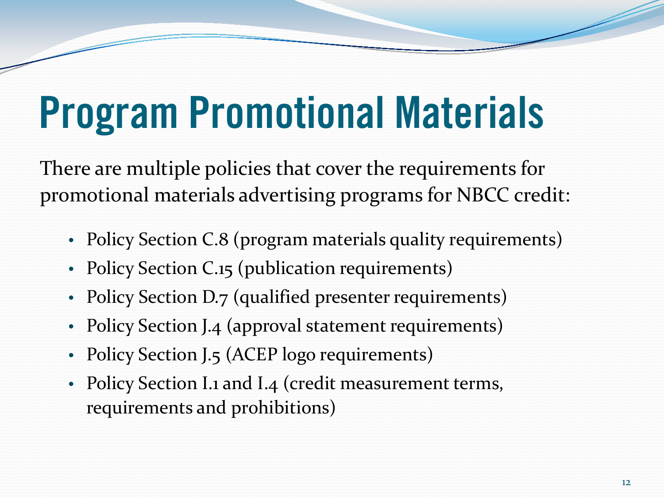# **Program Promotional Materials**

There are multiple policies that cover the requirements for promotional materials advertising programs for NBCC credit:

- Policy Section C.8 (program materials quality requirements)
- Policy Section C.15 (publication requirements)
- Policy Section D.7 (qualified presenter requirements)
- Policy Section J.4 (approval statement requirements)
- Policy Section J.5 (ACEP logo requirements)
- Policy Section I.1 and I.4 (credit measurement terms, requirements and prohibitions)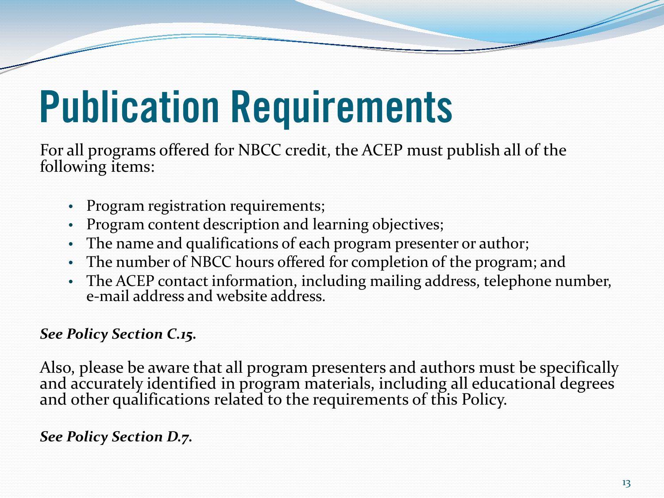For all programs offered for NBCC credit, the ACEP must publish all of the following items:

- Program registration requirements;
- Program content description and learning objectives;
- The name and qualifications of each program presenter or author;
- The number of NBCC hours offered for completion of the program; and
- The ACEP contact information, including mailing address, telephone number, e-mail address and website address.

#### *See Policy Section C.15.*

Also, please be aware that all program presenters and authors must be specifically and accurately identified in program materials, including all educational degrees and other qualifications related to the requirements of this Policy.

#### *See Policy Section D.7.*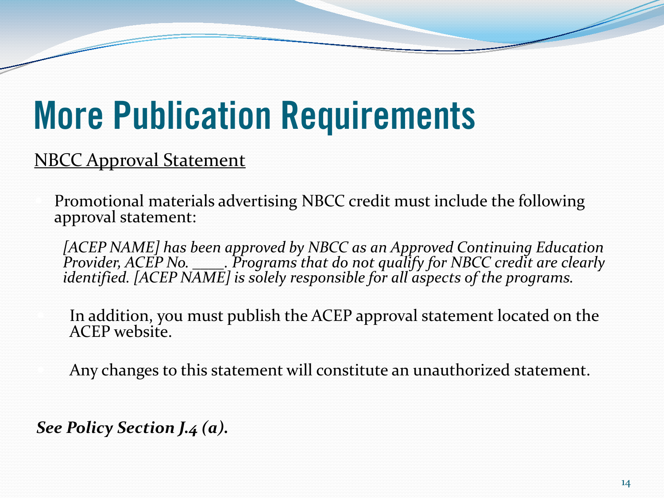#### NBCC Approval Statement

 Promotional materials advertising NBCC credit must include the following approval statement:

[ACEP NAME] has been approved by NBCC as an Approved Continuing Education *Provider, ACEP No. \_\_\_\_. Programs that do not qualify for NBCC credit are clearly identified. [ACEP NAME] is solely responsible for all aspects of the programs.*

 In addition, you must publish the ACEP approval statement located on the ACEP website.

Any changes to this statement will constitute an unauthorized statement.

*See Policy Section J.4 (a).*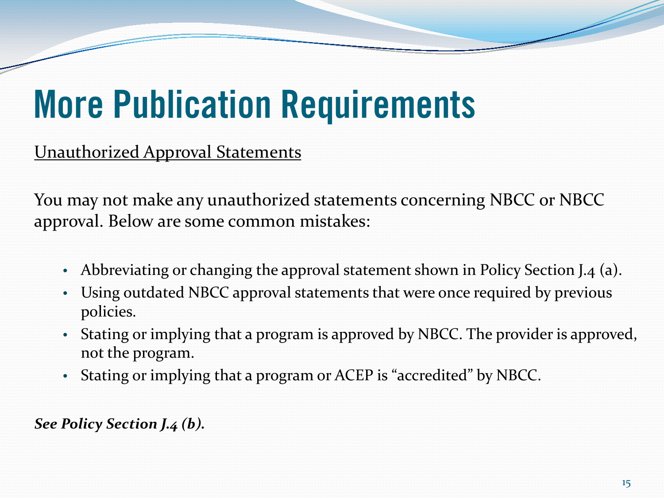Unauthorized Approval Statements

You may not make any unauthorized statements concerning NBCC or NBCC approval. Below are some common mistakes:

- Abbreviating or changing the approval statement shown in Policy Section J.4 (a).
- Using outdated NBCC approval statements that were once required by previous policies.
- Stating or implying that a program is approved by NBCC. The provider is approved, not the program.
- Stating or implying that a program or ACEP is "accredited" by NBCC.

*See Policy Section J.4 (b).*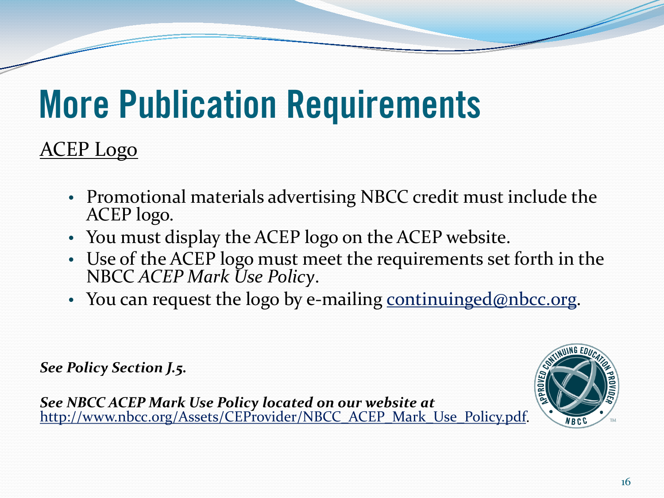#### ACEP Logo

- Promotional materials advertising NBCC credit must include the ACEP logo.
- You must display the ACEP logo on the ACEP website.
- Use of the ACEP logo must meet the requirements set forth in the NBCC *ACEP Mark Use Policy*.
- You can request the logo by e-mailing [continuinged@nbcc.org](mailto:continuinged@nbcc.org).

*See Policy Section J.5.*

*See NBCC ACEP Mark Use Policy located on our website at*  http://www.nbcc.org/Assets/CEProvider/NBCC ACEP Mark Use Policy.pdf.

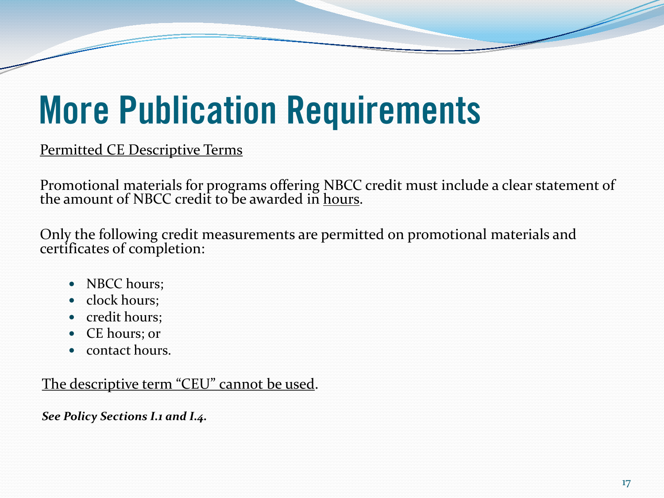Permitted CE Descriptive Terms

Promotional materials for programs offering NBCC credit must include a clear statement of the amount of NBCC credit to be awarded in <u>hours</u>.

Only the following credit measurements are permitted on promotional materials and certificates of completion:

- NBCC hours;
- clock hours;
- credit hours;
- CE hours; or
- contact hours.

The descriptive term "CEU" cannot be used.

*See Policy Sections I.1 and I.4.*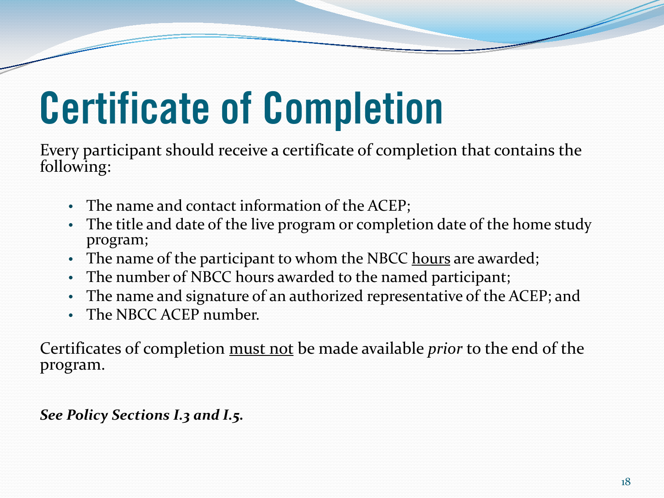# **Certificate of Completion**

Every participant should receive a certificate of completion that contains the following:

- The name and contact information of the ACEP;
- The title and date of the live program or completion date of the home study program;
- The name of the participant to whom the NBCC hours are awarded;
- The number of NBCC hours awarded to the named participant;
- The name and signature of an authorized representative of the ACEP; and
- The NBCC ACEP number.

Certificates of completion must not be made available *prior* to the end of the program.

*See Policy Sections I.3 and I.5.*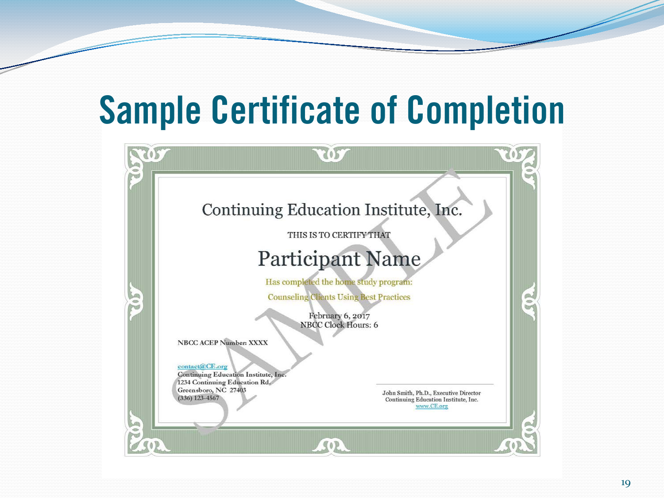### **Sample Certificate of Completion**

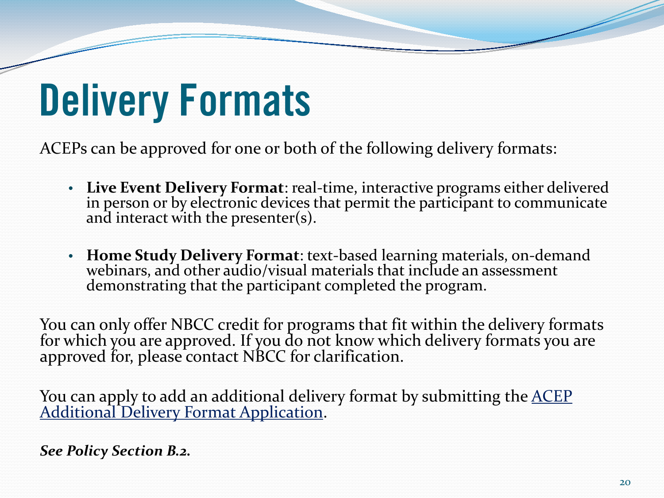## **Delivery Formats**

ACEPs can be approved for one or both of the following delivery formats:

- **Live Event Delivery Format**: real-time, interactive programs either delivered in person or by electronic devices that permit the participant to communicate and interact with the presenter(s).
- **Home Study Delivery Format**: text-based learning materials, on-demand webinars, and other audio/visual materials that include an assessment demonstrating that the participant completed the program.

You can only offer NBCC credit for programs that fit within the delivery formats for which you are approved. If you do not know which delivery formats you are approved for, please contact NBCC for clarification.

You can apply to add an additional delivery format by submitting the ACEP [Additional Delivery Format Application](http://www.nbcc.org/Assets/CEProvider/ACEP_Additional_Delivery_Format_Application.pdf).

*See Policy Section B.2.*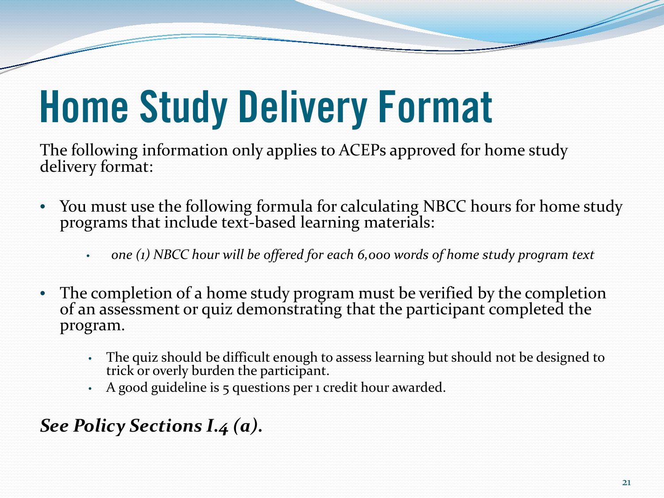# **Home Study Delivery Format**

The following information only applies to ACEPs approved for home study delivery format:

- You must use the following formula for calculating NBCC hours for home study programs that include text-based learning materials:
	- *one (1) NBCC hour will be offered for each 6,000 words of home study program text*
- The completion of a home study program must be verified by the completion of an assessment or quiz demonstrating that the participant completed the program.
	- The quiz should be difficult enough to assess learning but should not be designed to trick or overly burden the participant.
	- A good guideline is 5 questions per 1 credit hour awarded.

#### *See Policy Sections I.4 (a).*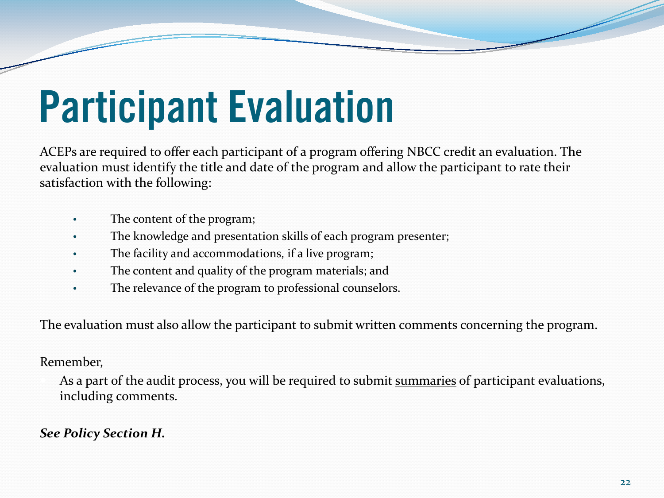# **Participant Evaluation**

ACEPs are required to offer each participant of a program offering NBCC credit an evaluation. The evaluation must identify the title and date of the program and allow the participant to rate their satisfaction with the following:

- The content of the program;
- The knowledge and presentation skills of each program presenter;
- The facility and accommodations, if a live program;
- The content and quality of the program materials; and
- The relevance of the program to professional counselors.

The evaluation must also allow the participant to submit written comments concerning the program.

#### Remember,

As a part of the audit process, you will be required to submit summaries of participant evaluations, including comments.

#### *See Policy Section H.*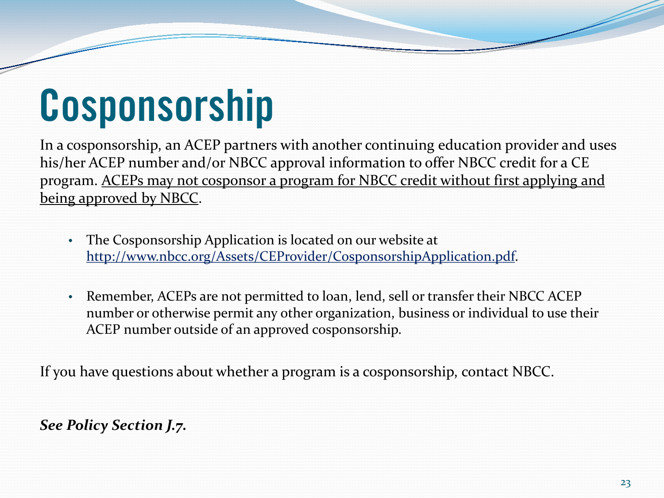### **Cosponsorship**

In a cosponsorship, an ACEP partners with another continuing education provider and uses his/her ACEP number and/or NBCC approval information to offer NBCC credit for a CE program. ACEPs may not cosponsor a program for NBCC credit without first applying and being approved by NBCC.

- The Cosponsorship Application is located on our website at <http://www.nbcc.org/Assets/CEProvider/CosponsorshipApplication.pdf>.
- Remember, ACEPs are not permitted to loan, lend, sell or transfer their NBCC ACEP number or otherwise permit any other organization, business or individual to use their ACEP number outside of an approved cosponsorship.

If you have questions about whether a program is a cosponsorship, contact NBCC.

#### *See Policy Section J.7.*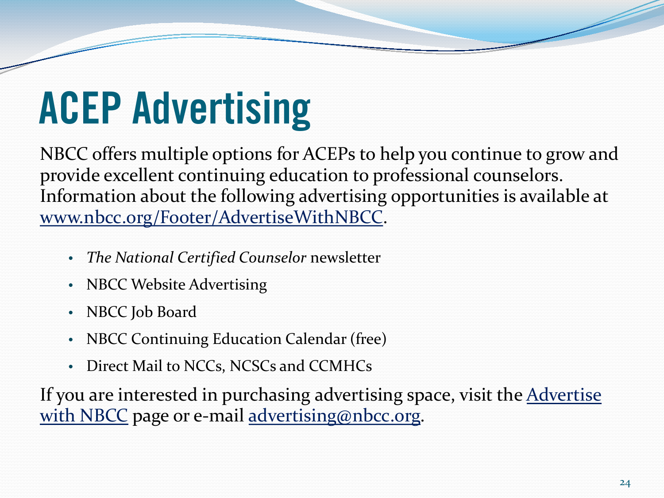# **ACEP Advertising**

NBCC offers multiple options for ACEPs to help you continue to grow and provide excellent continuing education to professional counselors. Information about the following advertising opportunities is available at [www.nbcc.org/Footer/AdvertiseWithNBCC](http://www.nbcc.org/Footer/AdvertiseWithNBCC).

- *The National Certified Counselor* newsletter
- NBCC Website Advertising
- NBCC Job Board
- NBCC Continuing Education Calendar (free)
- Direct Mail to NCCs, NCSCs and CCMHCs

If you are interested in purchasing advertising space, visit the Advertise [with NBCC](http://www.nbcc.org/Footer/AdvertiseWithNBCC) page or e-mail [advertising@nbcc.org.](mailto:advertising@nbcc.org)